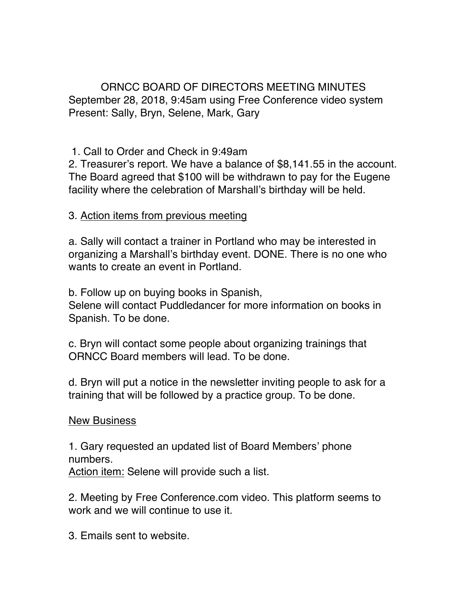ORNCC BOARD OF DIRECTORS MEETING MINUTES September 28, 2018, 9:45am using Free Conference video system Present: Sally, Bryn, Selene, Mark, Gary

1. Call to Order and Check in 9:49am

2. Treasurer's report. We have a balance of \$8,141.55 in the account. The Board agreed that \$100 will be withdrawn to pay for the Eugene facility where the celebration of Marshall's birthday will be held.

3. Action items from previous meeting

a. Sally will contact a trainer in Portland who may be interested in organizing a Marshall's birthday event. DONE. There is no one who wants to create an event in Portland.

b. Follow up on buying books in Spanish,

Selene will contact Puddledancer for more information on books in Spanish. To be done.

c. Bryn will contact some people about organizing trainings that ORNCC Board members will lead. To be done.

d. Bryn will put a notice in the newsletter inviting people to ask for a training that will be followed by a practice group. To be done.

New Business

1. Gary requested an updated list of Board Members' phone numbers. Action item: Selene will provide such a list.

2. Meeting by Free Conference.com video. This platform seems to work and we will continue to use it.

3. Emails sent to website.